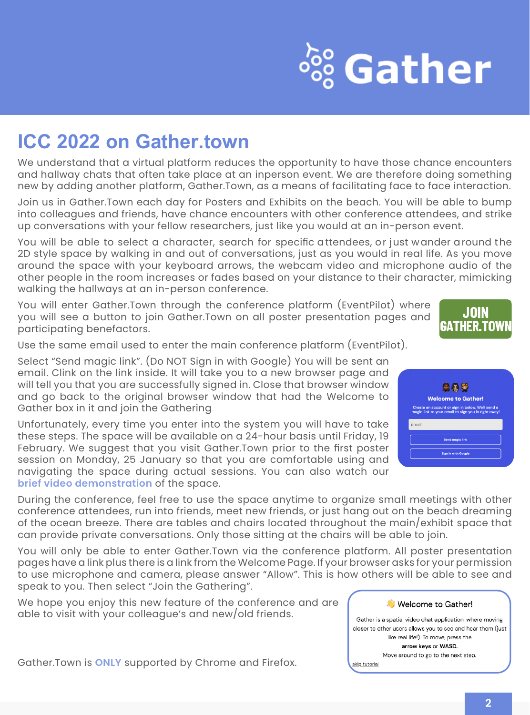# $\frac{360}{260}$  Gather

### **ICC 2022 on Gather.town**

We understand that a virtual platform reduces the opportunity to have those chance encounters and hallway chats that often take place at an inperson event. We are therefore doing something new by adding another platform, Gather.Town, as a means of facilitating face to face interaction.

Join us in Gather.Town each day for Posters and Exhibits on the beach. You will be able to bump into colleagues and friends, have chance encounters with other conference attendees, and strike up conversations with your fellow researchers, just like you would at an in-person event.

You will be able to select a character, search for specific attendees, or just wander around the 2D style space by walking in and out of conversations, just as you would in real life. As you move around the space with your keyboard arrows, the webcam video and microphone audio of the other people in the room increases or fades based on your distance to their character, mimicking walking the hallways at an in-person conference.

You will enter Gather.Town through the conference platform (EventPilot) where you will see a button to join Gather.Town on all poster presentation pages and participating benefactors.



Use the same email used to enter the main conference platform (EventPilot).

Select "Send magic link". (Do NOT Sign in with Google) You will be sent an email. Clink on the link inside. It will take you to a new browser page and will tell you that you are successfully signed in. Close that browser window and go back to the original browser window that had the Welcome to Gather box in it and join the Gathering

Unfortunately, every time you enter into the system you will have to take these steps. The space will be available on a 24-hour basis until Friday, 19 February. We suggest that you visit Gather.Town prior to the first poster session on Monday, 25 January so that you are comfortable using and navigating the space during actual sessions. You can also watch our **[brief video demonstration](https://vimeo.com/498534265/ffabd64b86)** of the space.



During the conference, feel free to use the space anytime to organize small meetings with other conference attendees, run into friends, meet new friends, or just hang out on the beach dreaming of the ocean breeze. There are tables and chairs located throughout the main/exhibit space that can provide private conversations. Only those sitting at the chairs will be able to join.

You will only be able to enter Gather.Town via the conference platform. All poster presentation pages have a link plus there is a link from the Welcome Page. If your browser asks for your permission to use microphone and camera, please answer "Allow". This is how others will be able to see and speak to you. Then select "Join the Gathering".

We hope you enjoy this new feature of the conference and are able to visit with your colleague's and new/old friends.

Gather.Town is **ONLY** supported by Chrome and Firefox.

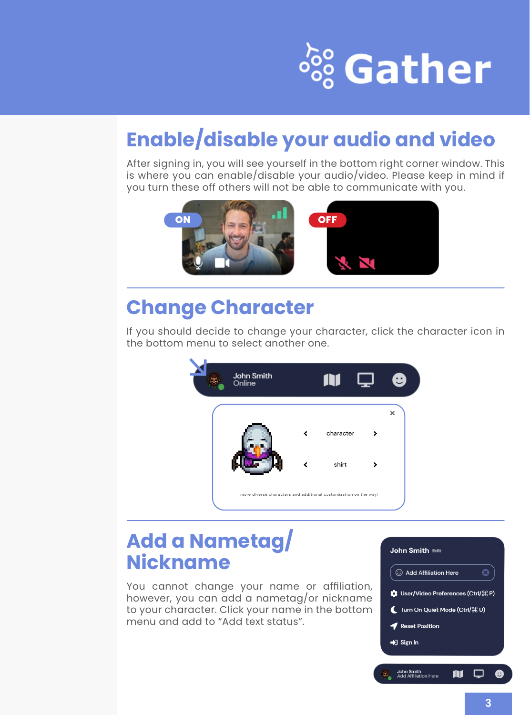# <sup>ஃ</sup> Gather

### **Enable/disable your audio and video**

After signing in, you will see yourself in the bottom right corner window. This is where you can enable/disable your audio/video. Please keep in mind if you turn these off others will not be able to communicate with you.



### **Change Character**

If you should decide to change your character, click the character icon in the bottom menu to select another one.



#### **Add a Nametag/ Nickname**

You cannot change your name or affiliation, however, you can add a nametag/or nickname to your character. Click your name in the bottom menu and add to "Add text status".

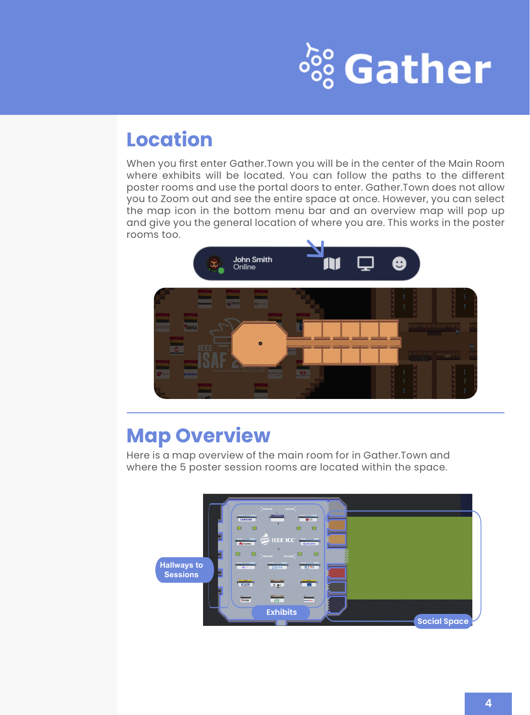# <sup>SSS</sup> Gather

#### **Location**

When you first enter Gather.Town you will be in the center of the Main Room where exhibits will be located. You can follow the paths to the different poster rooms and use the portal doors to enter. Gather.Town does not allow you to Zoom out and see the entire space at once. However, you can select the map icon in the bottom menu bar and an overview map will pop up and give you the general location of where you are. This works in the poster rooms too.



### **Map Overview**

Here is a map overview of the main room for in Gather.Town and where the 5 poster session rooms are located within the space.

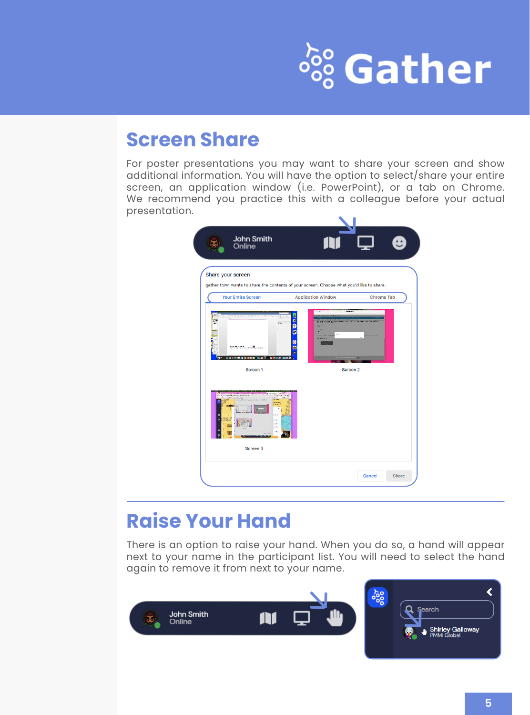# <sup>SSS</sup> Gather

#### **Screen Share**

For poster presentations you may want to share your screen and show additional information. You will have the option to select/share your entire screen, an application window (i.e. PowerPoint), or a tab on Chrome. We recommend you practice this with a colleague before your actual presentation.

| Share your screen<br>gather.town wants to share the contents of your screen. Choose what you'd like to share.<br><b>Your Entire Screen</b><br><b>Application Window</b><br>Chrome Tab<br>$-10 - 100$<br>Ă<br>ē<br>e<br>$\frac{1}{2}$<br>$-111$<br><b>SECOND SERIES</b><br>÷.<br>part of<br>ø<br>1.11<br><b>STEAMS</b><br>g<br><b>CONTRACTOR</b> AND CONTRACTOR<br>1981年四月1日1日第7回日下午5日10户 | John Smith<br>Online     | ₩,              |
|------------------------------------------------------------------------------------------------------------------------------------------------------------------------------------------------------------------------------------------------------------------------------------------------------------------------------------------------------------------------------------------|--------------------------|-----------------|
|                                                                                                                                                                                                                                                                                                                                                                                          |                          |                 |
|                                                                                                                                                                                                                                                                                                                                                                                          |                          |                 |
|                                                                                                                                                                                                                                                                                                                                                                                          |                          |                 |
| Screen <sub>2</sub><br>Screen <sub>1</sub>                                                                                                                                                                                                                                                                                                                                               |                          |                 |
|                                                                                                                                                                                                                                                                                                                                                                                          | i.<br>`ië<br>$\sim$<br>ĸ |                 |
|                                                                                                                                                                                                                                                                                                                                                                                          | Screen 3                 |                 |
|                                                                                                                                                                                                                                                                                                                                                                                          |                          |                 |
|                                                                                                                                                                                                                                                                                                                                                                                          |                          | Cancel<br>Share |

### **Raise Your Hand**

There is an option to raise your hand. When you do so, a hand will appear next to your name in the participant list. You will need to select the hand again to remove it from next to your name.

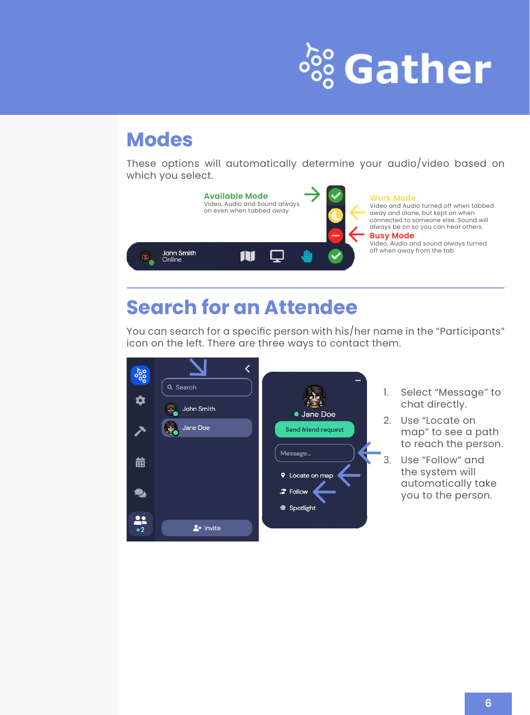# <sup>ஃ</sup> Gather

#### **Modes**

These options will automatically determine your audio/video based on which you select.



### **Search for an Attendee**

You can search for a specific person with his/her name in the "Participants" icon on the left. There are three ways to contact them.



- 1. Select "Message" to chat directly.
- 2. Use "Locate on map" to see a path to reach the person.
- 3. Use "Follow" and the system will automatically take you to the person.